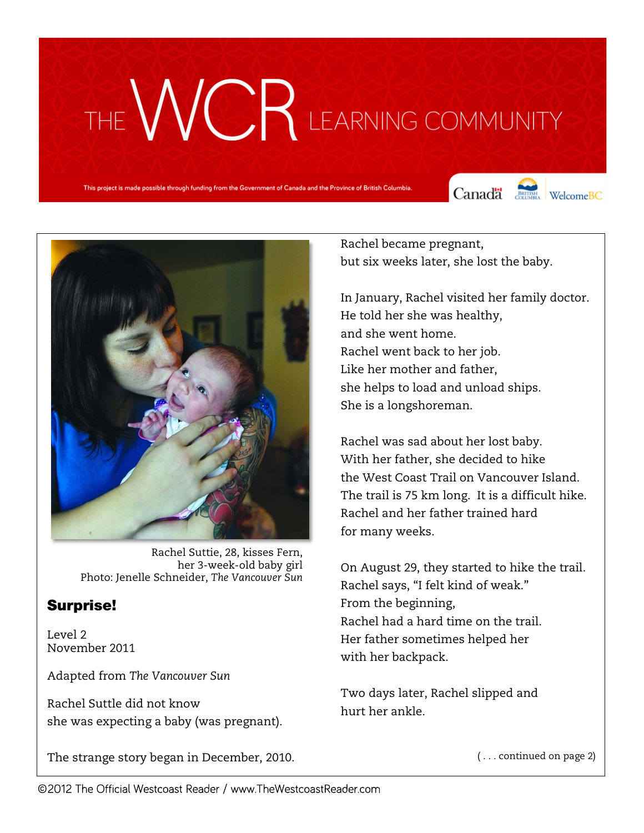# THE WCR LEARNING COMMUNITY

This project is made possible through funding from the Government of Canada and the Province of British Columbia.

Canada Courses WelcomeBC



Rachel Suttie, 28, kisses Fern, her 3-week-old baby girl Photo: Jenelle Schneider, *The Vancouver Sun*

# Surprise!

Level 2 November 2011

Adapted from *The Vancouver Sun*

Rachel Suttle did not know she was expecting a baby (was pregnant).

The strange story began in December, 2010.

Rachel became pregnant, but six weeks later, she lost the baby.

In January, Rachel visited her family doctor. He told her she was healthy, and she went home. Rachel went back to her job. Like her mother and father, she helps to load and unload ships. She is a longshoreman.

Rachel was sad about her lost baby. With her father, she decided to hike the West Coast Trail on Vancouver Island. The trail is 75 km long. It is a difficult hike. Rachel and her father trained hard for many weeks.

On August 29, they started to hike the trail. Rachel says, "I felt kind of weak." From the beginning, Rachel had a hard time on the trail. Her father sometimes helped her with her backpack.

Two days later, Rachel slipped and hurt her ankle.

( . . . continued on page 2)